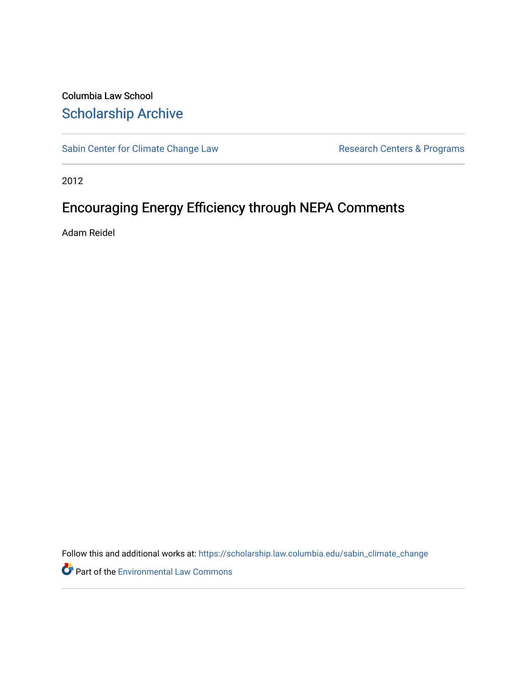# Columbia Law School [Scholarship Archive](https://scholarship.law.columbia.edu/)

[Sabin Center for Climate Change Law](https://scholarship.law.columbia.edu/sabin_climate_change) Research Centers & Programs

2012

# Encouraging Energy Efficiency through NEPA Comments

Adam Reidel

Follow this and additional works at: [https://scholarship.law.columbia.edu/sabin\\_climate\\_change](https://scholarship.law.columbia.edu/sabin_climate_change?utm_source=scholarship.law.columbia.edu%2Fsabin_climate_change%2F159&utm_medium=PDF&utm_campaign=PDFCoverPages) 

**P** Part of the [Environmental Law Commons](http://network.bepress.com/hgg/discipline/599?utm_source=scholarship.law.columbia.edu%2Fsabin_climate_change%2F159&utm_medium=PDF&utm_campaign=PDFCoverPages)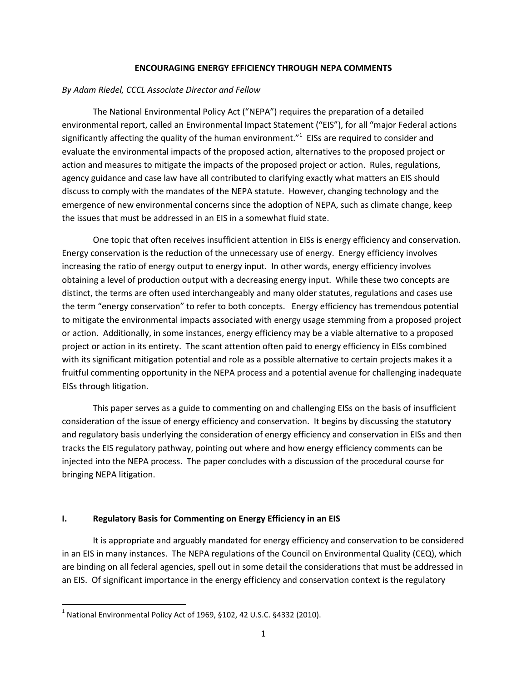#### ENCOURAGING ENERGY EFFICIENCY THROUGH NEPA COMMENTS

#### By Adam Riedel, CCCL Associate Director and Fellow

 The National Environmental Policy Act ("NEPA") requires the preparation of a detailed environmental report, called an Environmental Impact Statement ("EIS"), for all "major Federal actions significantly affecting the quality of the human environment." $1$  EISs are required to consider and evaluate the environmental impacts of the proposed action, alternatives to the proposed project or action and measures to mitigate the impacts of the proposed project or action. Rules, regulations, agency guidance and case law have all contributed to clarifying exactly what matters an EIS should discuss to comply with the mandates of the NEPA statute. However, changing technology and the emergence of new environmental concerns since the adoption of NEPA, such as climate change, keep the issues that must be addressed in an EIS in a somewhat fluid state.

One topic that often receives insufficient attention in EISs is energy efficiency and conservation. Energy conservation is the reduction of the unnecessary use of energy. Energy efficiency involves increasing the ratio of energy output to energy input. In other words, energy efficiency involves obtaining a level of production output with a decreasing energy input. While these two concepts are distinct, the terms are often used interchangeably and many older statutes, regulations and cases use the term "energy conservation" to refer to both concepts. Energy efficiency has tremendous potential to mitigate the environmental impacts associated with energy usage stemming from a proposed project or action. Additionally, in some instances, energy efficiency may be a viable alternative to a proposed project or action in its entirety. The scant attention often paid to energy efficiency in EISs combined with its significant mitigation potential and role as a possible alternative to certain projects makes it a fruitful commenting opportunity in the NEPA process and a potential avenue for challenging inadequate EISs through litigation.

This paper serves as a guide to commenting on and challenging EISs on the basis of insufficient consideration of the issue of energy efficiency and conservation. It begins by discussing the statutory and regulatory basis underlying the consideration of energy efficiency and conservation in EISs and then tracks the EIS regulatory pathway, pointing out where and how energy efficiency comments can be injected into the NEPA process. The paper concludes with a discussion of the procedural course for bringing NEPA litigation.

#### I. Regulatory Basis for Commenting on Energy Efficiency in an EIS

It is appropriate and arguably mandated for energy efficiency and conservation to be considered in an EIS in many instances. The NEPA regulations of the Council on Environmental Quality (CEQ), which are binding on all federal agencies, spell out in some detail the considerations that must be addressed in an EIS. Of significant importance in the energy efficiency and conservation context is the regulatory

 $\overline{\phantom{0}}$ 

<sup>&</sup>lt;sup>1</sup> National Environmental Policy Act of 1969, §102, 42 U.S.C. §4332 (2010).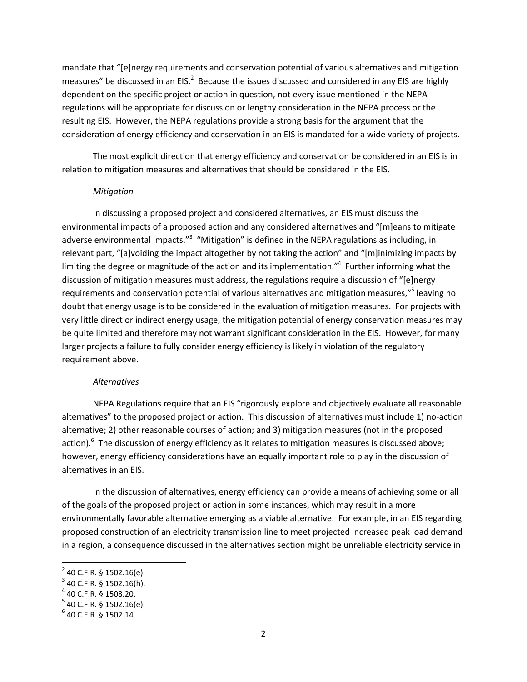mandate that "[e]nergy requirements and conservation potential of various alternatives and mitigation measures" be discussed in an EIS. $^2$  Because the issues discussed and considered in any EIS are highly dependent on the specific project or action in question, not every issue mentioned in the NEPA regulations will be appropriate for discussion or lengthy consideration in the NEPA process or the resulting EIS. However, the NEPA regulations provide a strong basis for the argument that the consideration of energy efficiency and conservation in an EIS is mandated for a wide variety of projects.

The most explicit direction that energy efficiency and conservation be considered in an EIS is in relation to mitigation measures and alternatives that should be considered in the EIS.

#### Mitigation

In discussing a proposed project and considered alternatives, an EIS must discuss the environmental impacts of a proposed action and any considered alternatives and "[m]eans to mitigate adverse environmental impacts."<sup>3</sup> "Mitigation" is defined in the NEPA regulations as including, in relevant part, "[a]voiding the impact altogether by not taking the action" and "[m]inimizing impacts by limiting the degree or magnitude of the action and its implementation." $4$  Further informing what the discussion of mitigation measures must address, the regulations require a discussion of "[e]nergy requirements and conservation potential of various alternatives and mitigation measures,"<sup>5</sup> leaving no doubt that energy usage is to be considered in the evaluation of mitigation measures. For projects with very little direct or indirect energy usage, the mitigation potential of energy conservation measures may be quite limited and therefore may not warrant significant consideration in the EIS. However, for many larger projects a failure to fully consider energy efficiency is likely in violation of the regulatory requirement above.

#### Alternatives

NEPA Regulations require that an EIS "rigorously explore and objectively evaluate all reasonable alternatives" to the proposed project or action. This discussion of alternatives must include 1) no-action alternative; 2) other reasonable courses of action; and 3) mitigation measures (not in the proposed action).<sup>6</sup> The discussion of energy efficiency as it relates to mitigation measures is discussed above; however, energy efficiency considerations have an equally important role to play in the discussion of alternatives in an EIS.

In the discussion of alternatives, energy efficiency can provide a means of achieving some or all of the goals of the proposed project or action in some instances, which may result in a more environmentally favorable alternative emerging as a viable alternative. For example, in an EIS regarding proposed construction of an electricity transmission line to meet projected increased peak load demand in a region, a consequence discussed in the alternatives section might be unreliable electricity service in

 $\overline{a}$ 

 $2^{2}$  40 C.F.R. § 1502.16(e).

 $3$  40 C.F.R. § 1502.16(h).

 $4$  40 C.F.R. § 1508.20.

 $5$  40 C.F.R. § 1502.16(e).

 $6$  40 C.F.R. § 1502.14.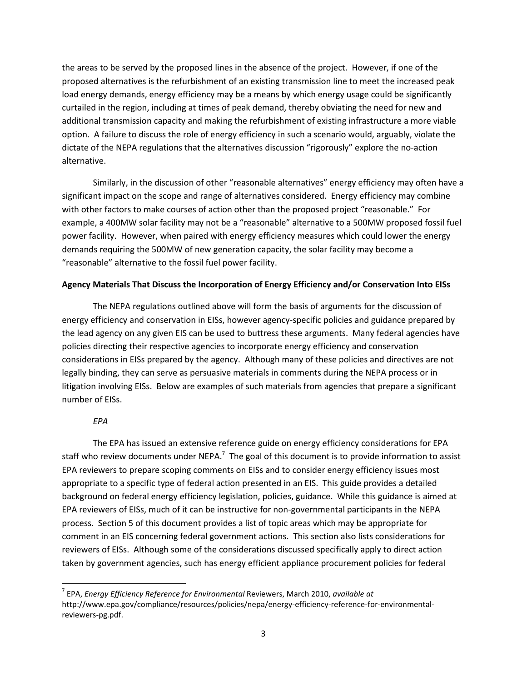the areas to be served by the proposed lines in the absence of the project. However, if one of the proposed alternatives is the refurbishment of an existing transmission line to meet the increased peak load energy demands, energy efficiency may be a means by which energy usage could be significantly curtailed in the region, including at times of peak demand, thereby obviating the need for new and additional transmission capacity and making the refurbishment of existing infrastructure a more viable option. A failure to discuss the role of energy efficiency in such a scenario would, arguably, violate the dictate of the NEPA regulations that the alternatives discussion "rigorously" explore the no-action alternative.

Similarly, in the discussion of other "reasonable alternatives" energy efficiency may often have a significant impact on the scope and range of alternatives considered. Energy efficiency may combine with other factors to make courses of action other than the proposed project "reasonable." For example, a 400MW solar facility may not be a "reasonable" alternative to a 500MW proposed fossil fuel power facility. However, when paired with energy efficiency measures which could lower the energy demands requiring the 500MW of new generation capacity, the solar facility may become a "reasonable" alternative to the fossil fuel power facility.

#### Agency Materials That Discuss the Incorporation of Energy Efficiency and/or Conservation Into EISs

 The NEPA regulations outlined above will form the basis of arguments for the discussion of energy efficiency and conservation in EISs, however agency-specific policies and guidance prepared by the lead agency on any given EIS can be used to buttress these arguments. Many federal agencies have policies directing their respective agencies to incorporate energy efficiency and conservation considerations in EISs prepared by the agency. Although many of these policies and directives are not legally binding, they can serve as persuasive materials in comments during the NEPA process or in litigation involving EISs. Below are examples of such materials from agencies that prepare a significant number of EISs.

### EPA

 $\overline{\phantom{0}}$ 

The EPA has issued an extensive reference guide on energy efficiency considerations for EPA staff who review documents under NEPA.<sup>7</sup> The goal of this document is to provide information to assist EPA reviewers to prepare scoping comments on EISs and to consider energy efficiency issues most appropriate to a specific type of federal action presented in an EIS. This guide provides a detailed background on federal energy efficiency legislation, policies, guidance. While this guidance is aimed at EPA reviewers of EISs, much of it can be instructive for non-governmental participants in the NEPA process. Section 5 of this document provides a list of topic areas which may be appropriate for comment in an EIS concerning federal government actions. This section also lists considerations for reviewers of EISs. Although some of the considerations discussed specifically apply to direct action taken by government agencies, such has energy efficient appliance procurement policies for federal

 $^7$  EPA, Energy Efficiency Reference for Environmental Reviewers, March 2010, available at http://www.epa.gov/compliance/resources/policies/nepa/energy-efficiency-reference-for-environmentalreviewers-pg.pdf.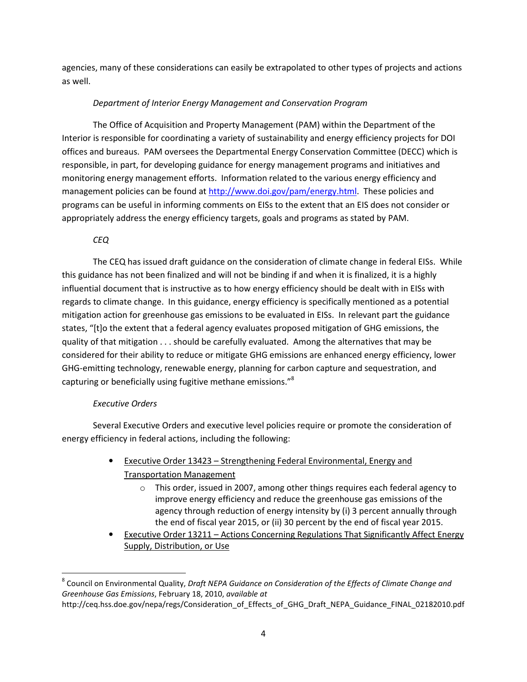agencies, many of these considerations can easily be extrapolated to other types of projects and actions as well.

## Department of Interior Energy Management and Conservation Program

 The Office of Acquisition and Property Management (PAM) within the Department of the Interior is responsible for coordinating a variety of sustainability and energy efficiency projects for DOI offices and bureaus. PAM oversees the Departmental Energy Conservation Committee (DECC) which is responsible, in part, for developing guidance for energy management programs and initiatives and monitoring energy management efforts. Information related to the various energy efficiency and management policies can be found at http://www.doi.gov/pam/energy.html. These policies and programs can be useful in informing comments on EISs to the extent that an EIS does not consider or appropriately address the energy efficiency targets, goals and programs as stated by PAM.

## CEQ

The CEQ has issued draft guidance on the consideration of climate change in federal EISs. While this guidance has not been finalized and will not be binding if and when it is finalized, it is a highly influential document that is instructive as to how energy efficiency should be dealt with in EISs with regards to climate change. In this guidance, energy efficiency is specifically mentioned as a potential mitigation action for greenhouse gas emissions to be evaluated in EISs. In relevant part the guidance states, "[t]o the extent that a federal agency evaluates proposed mitigation of GHG emissions, the quality of that mitigation . . . should be carefully evaluated. Among the alternatives that may be considered for their ability to reduce or mitigate GHG emissions are enhanced energy efficiency, lower GHG-emitting technology, renewable energy, planning for carbon capture and sequestration, and capturing or beneficially using fugitive methane emissions."<sup>8</sup>

### Executive Orders

l

 Several Executive Orders and executive level policies require or promote the consideration of energy efficiency in federal actions, including the following:

- Executive Order 13423 Strengthening Federal Environmental, Energy and Transportation Management
	- o This order, issued in 2007, among other things requires each federal agency to improve energy efficiency and reduce the greenhouse gas emissions of the agency through reduction of energy intensity by (i) 3 percent annually through the end of fiscal year 2015, or (ii) 30 percent by the end of fiscal year 2015.
- Executive Order 13211 Actions Concerning Regulations That Significantly Affect Energy Supply, Distribution, or Use

<sup>&</sup>lt;sup>8</sup> Council on Environmental Quality, Draft NEPA Guidance on Consideration of the Effects of Climate Change and Greenhouse Gas Emissions, February 18, 2010, available at

http://ceq.hss.doe.gov/nepa/regs/Consideration\_of\_Effects\_of\_GHG\_Draft\_NEPA\_Guidance\_FINAL\_02182010.pdf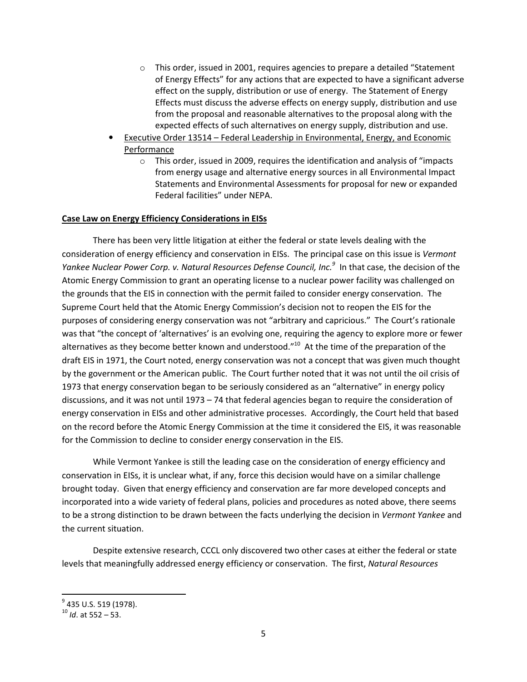- o This order, issued in 2001, requires agencies to prepare a detailed "Statement of Energy Effects" for any actions that are expected to have a significant adverse effect on the supply, distribution or use of energy. The Statement of Energy Effects must discuss the adverse effects on energy supply, distribution and use from the proposal and reasonable alternatives to the proposal along with the expected effects of such alternatives on energy supply, distribution and use.
- Executive Order 13514 Federal Leadership in Environmental, Energy, and Economic Performance
	- o This order, issued in 2009, requires the identification and analysis of "impacts from energy usage and alternative energy sources in all Environmental Impact Statements and Environmental Assessments for proposal for new or expanded Federal facilities" under NEPA.

### Case Law on Energy Efficiency Considerations in EISs

 There has been very little litigation at either the federal or state levels dealing with the consideration of energy efficiency and conservation in EISs. The principal case on this issue is Vermont Yankee Nuclear Power Corp. v. Natural Resources Defense Council, Inc.<sup>9</sup> In that case, the decision of the Atomic Energy Commission to grant an operating license to a nuclear power facility was challenged on the grounds that the EIS in connection with the permit failed to consider energy conservation. The Supreme Court held that the Atomic Energy Commission's decision not to reopen the EIS for the purposes of considering energy conservation was not "arbitrary and capricious." The Court's rationale was that "the concept of 'alternatives' is an evolving one, requiring the agency to explore more or fewer alternatives as they become better known and understood."<sup>10</sup> At the time of the preparation of the draft EIS in 1971, the Court noted, energy conservation was not a concept that was given much thought by the government or the American public. The Court further noted that it was not until the oil crisis of 1973 that energy conservation began to be seriously considered as an "alternative" in energy policy discussions, and it was not until 1973 – 74 that federal agencies began to require the consideration of energy conservation in EISs and other administrative processes. Accordingly, the Court held that based on the record before the Atomic Energy Commission at the time it considered the EIS, it was reasonable for the Commission to decline to consider energy conservation in the EIS.

 While Vermont Yankee is still the leading case on the consideration of energy efficiency and conservation in EISs, it is unclear what, if any, force this decision would have on a similar challenge brought today. Given that energy efficiency and conservation are far more developed concepts and incorporated into a wide variety of federal plans, policies and procedures as noted above, there seems to be a strong distinction to be drawn between the facts underlying the decision in Vermont Yankee and the current situation.

 Despite extensive research, CCCL only discovered two other cases at either the federal or state levels that meaningfully addressed energy efficiency or conservation. The first, Natural Resources

l

<sup>&</sup>lt;sup>9</sup> 435 U.S. 519 (1978).

 $10$  *Id.* at 552 – 53.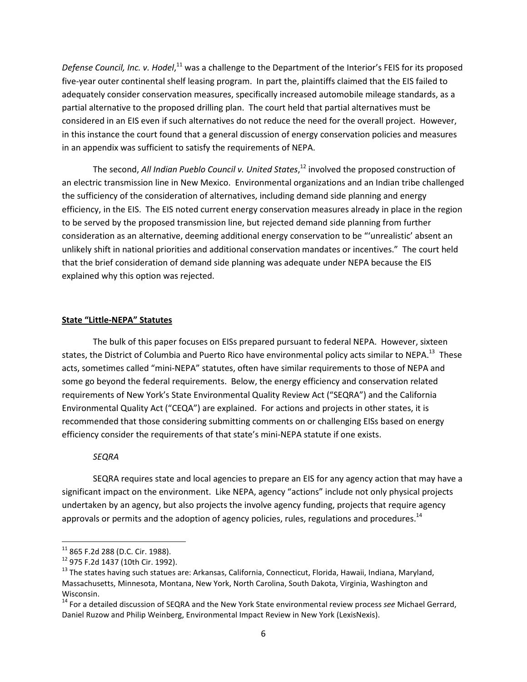Defense Council, Inc. v. Hodel,<sup>11</sup> was a challenge to the Department of the Interior's FEIS for its proposed five-year outer continental shelf leasing program. In part the, plaintiffs claimed that the EIS failed to adequately consider conservation measures, specifically increased automobile mileage standards, as a partial alternative to the proposed drilling plan. The court held that partial alternatives must be considered in an EIS even if such alternatives do not reduce the need for the overall project. However, in this instance the court found that a general discussion of energy conservation policies and measures in an appendix was sufficient to satisfy the requirements of NEPA.

The second, All Indian Pueblo Council v. United States,<sup>12</sup> involved the proposed construction of an electric transmission line in New Mexico. Environmental organizations and an Indian tribe challenged the sufficiency of the consideration of alternatives, including demand side planning and energy efficiency, in the EIS. The EIS noted current energy conservation measures already in place in the region to be served by the proposed transmission line, but rejected demand side planning from further consideration as an alternative, deeming additional energy conservation to be "'unrealistic' absent an unlikely shift in national priorities and additional conservation mandates or incentives." The court held that the brief consideration of demand side planning was adequate under NEPA because the EIS explained why this option was rejected.

#### State "Little-NEPA" Statutes

 The bulk of this paper focuses on EISs prepared pursuant to federal NEPA. However, sixteen states, the District of Columbia and Puerto Rico have environmental policy acts similar to NEPA.<sup>13</sup> These acts, sometimes called "mini-NEPA" statutes, often have similar requirements to those of NEPA and some go beyond the federal requirements. Below, the energy efficiency and conservation related requirements of New York's State Environmental Quality Review Act ("SEQRA") and the California Environmental Quality Act ("CEQA") are explained. For actions and projects in other states, it is recommended that those considering submitting comments on or challenging EISs based on energy efficiency consider the requirements of that state's mini-NEPA statute if one exists.

#### **SEQRA**

SEQRA requires state and local agencies to prepare an EIS for any agency action that may have a significant impact on the environment. Like NEPA, agency "actions" include not only physical projects undertaken by an agency, but also projects the involve agency funding, projects that require agency approvals or permits and the adoption of agency policies, rules, regulations and procedures.<sup>14</sup>

 $\overline{a}$ 

 $11$  865 F.2d 288 (D.C. Cir. 1988).

<sup>12</sup> 975 F.2d 1437 (10th Cir. 1992).

<sup>&</sup>lt;sup>13</sup> The states having such statues are: Arkansas, California, Connecticut, Florida, Hawaii, Indiana, Maryland, Massachusetts, Minnesota, Montana, New York, North Carolina, South Dakota, Virginia, Washington and Wisconsin.

<sup>&</sup>lt;sup>14</sup> For a detailed discussion of SEQRA and the New York State environmental review process see Michael Gerrard, Daniel Ruzow and Philip Weinberg, Environmental Impact Review in New York (LexisNexis).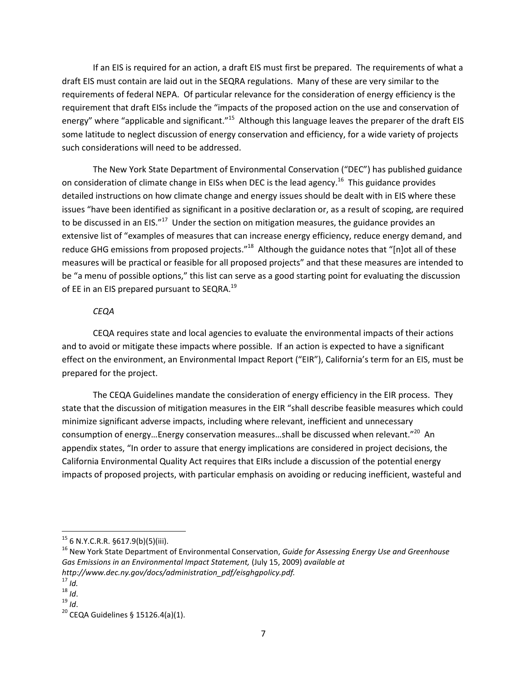If an EIS is required for an action, a draft EIS must first be prepared. The requirements of what a draft EIS must contain are laid out in the SEQRA regulations. Many of these are very similar to the requirements of federal NEPA. Of particular relevance for the consideration of energy efficiency is the requirement that draft EISs include the "impacts of the proposed action on the use and conservation of energy" where "applicable and significant."<sup>15</sup> Although this language leaves the preparer of the draft EIS some latitude to neglect discussion of energy conservation and efficiency, for a wide variety of projects such considerations will need to be addressed.

 The New York State Department of Environmental Conservation ("DEC") has published guidance on consideration of climate change in EISs when DEC is the lead agency.<sup>16</sup> This guidance provides detailed instructions on how climate change and energy issues should be dealt with in EIS where these issues "have been identified as significant in a positive declaration or, as a result of scoping, are required to be discussed in an EIS."<sup>17</sup> Under the section on mitigation measures, the guidance provides an extensive list of "examples of measures that can increase energy efficiency, reduce energy demand, and reduce GHG emissions from proposed projects."<sup>18</sup> Although the guidance notes that "[n]ot all of these measures will be practical or feasible for all proposed projects" and that these measures are intended to be "a menu of possible options," this list can serve as a good starting point for evaluating the discussion of EE in an EIS prepared pursuant to SEQRA.<sup>19</sup>

#### **CEQA**

CEQA requires state and local agencies to evaluate the environmental impacts of their actions and to avoid or mitigate these impacts where possible. If an action is expected to have a significant effect on the environment, an Environmental Impact Report ("EIR"), California's term for an EIS, must be prepared for the project.

 The CEQA Guidelines mandate the consideration of energy efficiency in the EIR process. They state that the discussion of mitigation measures in the EIR "shall describe feasible measures which could minimize significant adverse impacts, including where relevant, inefficient and unnecessary consumption of energy...Energy conservation measures...shall be discussed when relevant."<sup>20</sup> An appendix states, "In order to assure that energy implications are considered in project decisions, the California Environmental Quality Act requires that EIRs include a discussion of the potential energy impacts of proposed projects, with particular emphasis on avoiding or reducing inefficient, wasteful and

l

 $15$  6 N.Y.C.R.R. §617.9(b)(5)(iii).

<sup>&</sup>lt;sup>16</sup> New York State Department of Environmental Conservation, Guide for Assessing Energy Use and Greenhouse Gas Emissions in an Environmental Impact Statement, (July 15, 2009) available at http://www.dec.ny.gov/docs/administration\_pdf/eisghgpolicy.pdf.

 $17$  Id.

 $18$  Id.

 $19$  *Id.* 

<sup>&</sup>lt;sup>20</sup> CEQA Guidelines § 15126.4(a)(1).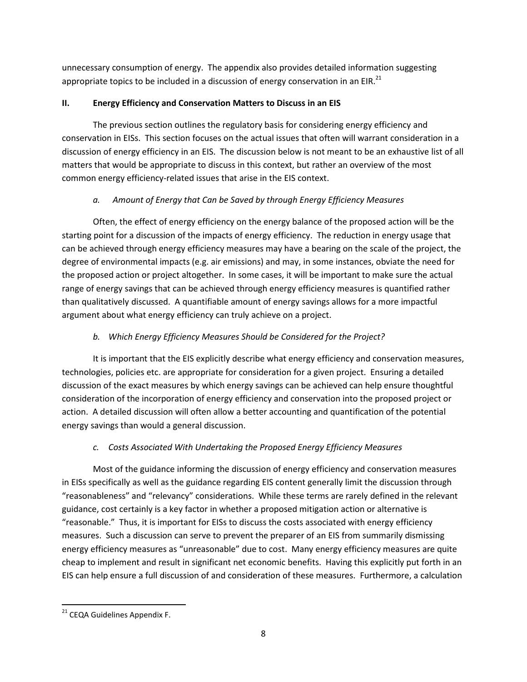unnecessary consumption of energy. The appendix also provides detailed information suggesting appropriate topics to be included in a discussion of energy conservation in an EIR.<sup>21</sup>

# II. Energy Efficiency and Conservation Matters to Discuss in an EIS

The previous section outlines the regulatory basis for considering energy efficiency and conservation in EISs. This section focuses on the actual issues that often will warrant consideration in a discussion of energy efficiency in an EIS. The discussion below is not meant to be an exhaustive list of all matters that would be appropriate to discuss in this context, but rather an overview of the most common energy efficiency-related issues that arise in the EIS context.

# a. Amount of Energy that Can be Saved by through Energy Efficiency Measures

Often, the effect of energy efficiency on the energy balance of the proposed action will be the starting point for a discussion of the impacts of energy efficiency. The reduction in energy usage that can be achieved through energy efficiency measures may have a bearing on the scale of the project, the degree of environmental impacts (e.g. air emissions) and may, in some instances, obviate the need for the proposed action or project altogether. In some cases, it will be important to make sure the actual range of energy savings that can be achieved through energy efficiency measures is quantified rather than qualitatively discussed. A quantifiable amount of energy savings allows for a more impactful argument about what energy efficiency can truly achieve on a project.

# b. Which Energy Efficiency Measures Should be Considered for the Project?

It is important that the EIS explicitly describe what energy efficiency and conservation measures, technologies, policies etc. are appropriate for consideration for a given project. Ensuring a detailed discussion of the exact measures by which energy savings can be achieved can help ensure thoughtful consideration of the incorporation of energy efficiency and conservation into the proposed project or action. A detailed discussion will often allow a better accounting and quantification of the potential energy savings than would a general discussion.

# c. Costs Associated With Undertaking the Proposed Energy Efficiency Measures

Most of the guidance informing the discussion of energy efficiency and conservation measures in EISs specifically as well as the guidance regarding EIS content generally limit the discussion through "reasonableness" and "relevancy" considerations. While these terms are rarely defined in the relevant guidance, cost certainly is a key factor in whether a proposed mitigation action or alternative is "reasonable." Thus, it is important for EISs to discuss the costs associated with energy efficiency measures. Such a discussion can serve to prevent the preparer of an EIS from summarily dismissing energy efficiency measures as "unreasonable" due to cost. Many energy efficiency measures are quite cheap to implement and result in significant net economic benefits. Having this explicitly put forth in an EIS can help ensure a full discussion of and consideration of these measures. Furthermore, a calculation

 <sup>21</sup> CEQA Guidelines Appendix F.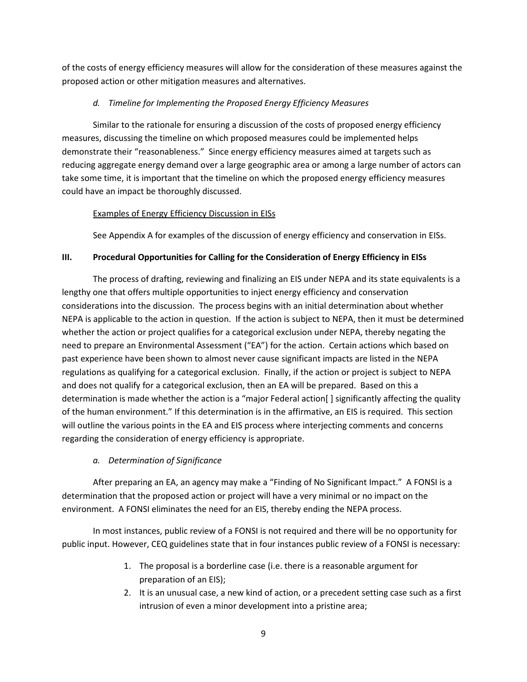of the costs of energy efficiency measures will allow for the consideration of these measures against the proposed action or other mitigation measures and alternatives.

# d. Timeline for Implementing the Proposed Energy Efficiency Measures

Similar to the rationale for ensuring a discussion of the costs of proposed energy efficiency measures, discussing the timeline on which proposed measures could be implemented helps demonstrate their "reasonableness." Since energy efficiency measures aimed at targets such as reducing aggregate energy demand over a large geographic area or among a large number of actors can take some time, it is important that the timeline on which the proposed energy efficiency measures could have an impact be thoroughly discussed.

# Examples of Energy Efficiency Discussion in EISs

See Appendix A for examples of the discussion of energy efficiency and conservation in EISs.

# III. Procedural Opportunities for Calling for the Consideration of Energy Efficiency in EISs

The process of drafting, reviewing and finalizing an EIS under NEPA and its state equivalents is a lengthy one that offers multiple opportunities to inject energy efficiency and conservation considerations into the discussion. The process begins with an initial determination about whether NEPA is applicable to the action in question. If the action is subject to NEPA, then it must be determined whether the action or project qualifies for a categorical exclusion under NEPA, thereby negating the need to prepare an Environmental Assessment ("EA") for the action. Certain actions which based on past experience have been shown to almost never cause significant impacts are listed in the NEPA regulations as qualifying for a categorical exclusion. Finally, if the action or project is subject to NEPA and does not qualify for a categorical exclusion, then an EA will be prepared. Based on this a determination is made whether the action is a "major Federal action[ ] significantly affecting the quality of the human environment." If this determination is in the affirmative, an EIS is required. This section will outline the various points in the EA and EIS process where interjecting comments and concerns regarding the consideration of energy efficiency is appropriate.

# a. Determination of Significance

After preparing an EA, an agency may make a "Finding of No Significant Impact." A FONSI is a determination that the proposed action or project will have a very minimal or no impact on the environment. A FONSI eliminates the need for an EIS, thereby ending the NEPA process.

In most instances, public review of a FONSI is not required and there will be no opportunity for public input. However, CEQ guidelines state that in four instances public review of a FONSI is necessary:

- 1. The proposal is a borderline case (i.e. there is a reasonable argument for preparation of an EIS);
- 2. It is an unusual case, a new kind of action, or a precedent setting case such as a first intrusion of even a minor development into a pristine area;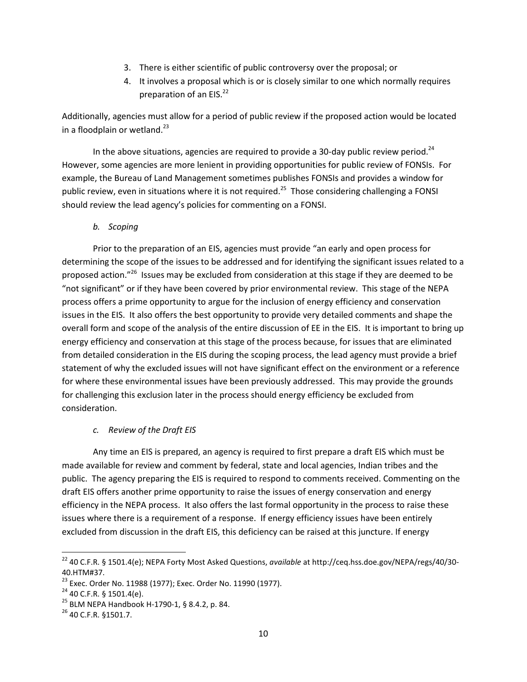- 3. There is either scientific of public controversy over the proposal; or
- 4. It involves a proposal which is or is closely similar to one which normally requires preparation of an EIS.<sup>22</sup>

Additionally, agencies must allow for a period of public review if the proposed action would be located in a floodplain or wetland.<sup>23</sup>

In the above situations, agencies are required to provide a 30-day public review period.<sup>24</sup> However, some agencies are more lenient in providing opportunities for public review of FONSIs. For example, the Bureau of Land Management sometimes publishes FONSIs and provides a window for public review, even in situations where it is not required.<sup>25</sup> Those considering challenging a FONSI should review the lead agency's policies for commenting on a FONSI.

b. Scoping

Prior to the preparation of an EIS, agencies must provide "an early and open process for determining the scope of the issues to be addressed and for identifying the significant issues related to a proposed action."<sup>26</sup> Issues may be excluded from consideration at this stage if they are deemed to be "not significant" or if they have been covered by prior environmental review. This stage of the NEPA process offers a prime opportunity to argue for the inclusion of energy efficiency and conservation issues in the EIS. It also offers the best opportunity to provide very detailed comments and shape the overall form and scope of the analysis of the entire discussion of EE in the EIS. It is important to bring up energy efficiency and conservation at this stage of the process because, for issues that are eliminated from detailed consideration in the EIS during the scoping process, the lead agency must provide a brief statement of why the excluded issues will not have significant effect on the environment or a reference for where these environmental issues have been previously addressed. This may provide the grounds for challenging this exclusion later in the process should energy efficiency be excluded from consideration.

# c. Review of the Draft EIS

Any time an EIS is prepared, an agency is required to first prepare a draft EIS which must be made available for review and comment by federal, state and local agencies, Indian tribes and the public. The agency preparing the EIS is required to respond to comments received. Commenting on the draft EIS offers another prime opportunity to raise the issues of energy conservation and energy efficiency in the NEPA process. It also offers the last formal opportunity in the process to raise these issues where there is a requirement of a response. If energy efficiency issues have been entirely excluded from discussion in the draft EIS, this deficiency can be raised at this juncture. If energy

l

<sup>&</sup>lt;sup>22</sup> 40 C.F.R. § 1501.4(e); NEPA Forty Most Asked Questions, available at http://ceq.hss.doe.gov/NEPA/regs/40/30-40.HTM#37.

<sup>&</sup>lt;sup>23</sup> Exec. Order No. 11988 (1977); Exec. Order No. 11990 (1977).

 $24$  40 C.F.R. § 1501.4(e).

<sup>25</sup> BLM NEPA Handbook H-1790-1, § 8.4.2, p. 84.

<sup>26</sup> 40 C.F.R. §1501.7.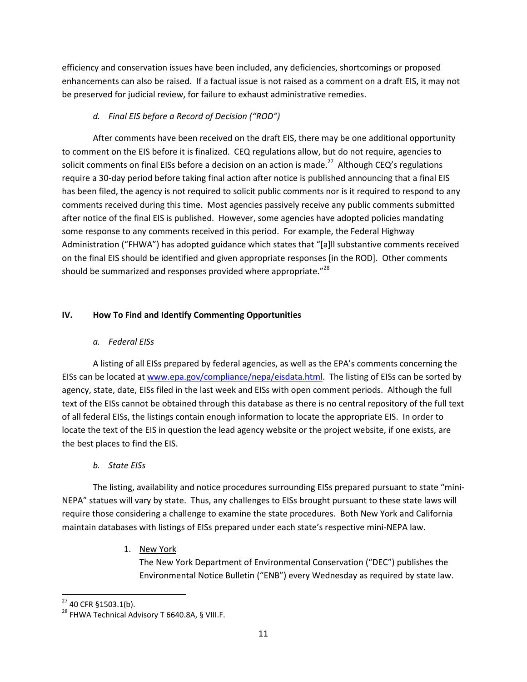efficiency and conservation issues have been included, any deficiencies, shortcomings or proposed enhancements can also be raised. If a factual issue is not raised as a comment on a draft EIS, it may not be preserved for judicial review, for failure to exhaust administrative remedies.

# d. Final EIS before a Record of Decision ("ROD")

After comments have been received on the draft EIS, there may be one additional opportunity to comment on the EIS before it is finalized. CEQ regulations allow, but do not require, agencies to solicit comments on final EISs before a decision on an action is made.<sup>27</sup> Although CEQ's regulations require a 30-day period before taking final action after notice is published announcing that a final EIS has been filed, the agency is not required to solicit public comments nor is it required to respond to any comments received during this time. Most agencies passively receive any public comments submitted after notice of the final EIS is published. However, some agencies have adopted policies mandating some response to any comments received in this period. For example, the Federal Highway Administration ("FHWA") has adopted guidance which states that "[a]ll substantive comments received on the final EIS should be identified and given appropriate responses [in the ROD]. Other comments should be summarized and responses provided where appropriate."<sup>28</sup>

# IV. How To Find and Identify Commenting Opportunities

# a. Federal EISs

A listing of all EISs prepared by federal agencies, as well as the EPA's comments concerning the EISs can be located at www.epa.gov/compliance/nepa/eisdata.html. The listing of EISs can be sorted by agency, state, date, EISs filed in the last week and EISs with open comment periods. Although the full text of the EISs cannot be obtained through this database as there is no central repository of the full text of all federal EISs, the listings contain enough information to locate the appropriate EIS. In order to locate the text of the EIS in question the lead agency website or the project website, if one exists, are the best places to find the EIS.

# b. State EISs

The listing, availability and notice procedures surrounding EISs prepared pursuant to state "mini-NEPA" statues will vary by state. Thus, any challenges to EISs brought pursuant to these state laws will require those considering a challenge to examine the state procedures. Both New York and California maintain databases with listings of EISs prepared under each state's respective mini-NEPA law.

# 1. New York

The New York Department of Environmental Conservation ("DEC") publishes the Environmental Notice Bulletin ("ENB") every Wednesday as required by state law.

 $\overline{a}$ 

<sup>27</sup> 40 CFR §1503.1(b).

<sup>&</sup>lt;sup>28</sup> FHWA Technical Advisory T 6640.8A, § VIII.F.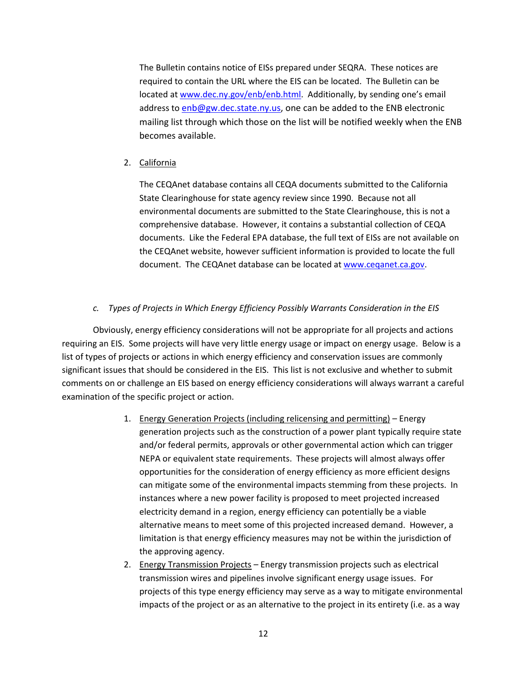The Bulletin contains notice of EISs prepared under SEQRA. These notices are required to contain the URL where the EIS can be located. The Bulletin can be located at www.dec.ny.gov/enb/enb.html. Additionally, by sending one's email address to enb@gw.dec.state.ny.us, one can be added to the ENB electronic mailing list through which those on the list will be notified weekly when the ENB becomes available.

2. California

The CEQAnet database contains all CEQA documents submitted to the California State Clearinghouse for state agency review since 1990. Because not all environmental documents are submitted to the State Clearinghouse, this is not a comprehensive database. However, it contains a substantial collection of CEQA documents. Like the Federal EPA database, the full text of EISs are not available on the CEQAnet website, however sufficient information is provided to locate the full document. The CEQAnet database can be located at www.ceqanet.ca.gov.

## c. Types of Projects in Which Energy Efficiency Possibly Warrants Consideration in the EIS

Obviously, energy efficiency considerations will not be appropriate for all projects and actions requiring an EIS. Some projects will have very little energy usage or impact on energy usage. Below is a list of types of projects or actions in which energy efficiency and conservation issues are commonly significant issues that should be considered in the EIS. This list is not exclusive and whether to submit comments on or challenge an EIS based on energy efficiency considerations will always warrant a careful examination of the specific project or action.

- 1. Energy Generation Projects (including relicensing and permitting) Energy generation projects such as the construction of a power plant typically require state and/or federal permits, approvals or other governmental action which can trigger NEPA or equivalent state requirements. These projects will almost always offer opportunities for the consideration of energy efficiency as more efficient designs can mitigate some of the environmental impacts stemming from these projects. In instances where a new power facility is proposed to meet projected increased electricity demand in a region, energy efficiency can potentially be a viable alternative means to meet some of this projected increased demand. However, a limitation is that energy efficiency measures may not be within the jurisdiction of the approving agency.
- 2. Energy Transmission Projects Energy transmission projects such as electrical transmission wires and pipelines involve significant energy usage issues. For projects of this type energy efficiency may serve as a way to mitigate environmental impacts of the project or as an alternative to the project in its entirety (i.e. as a way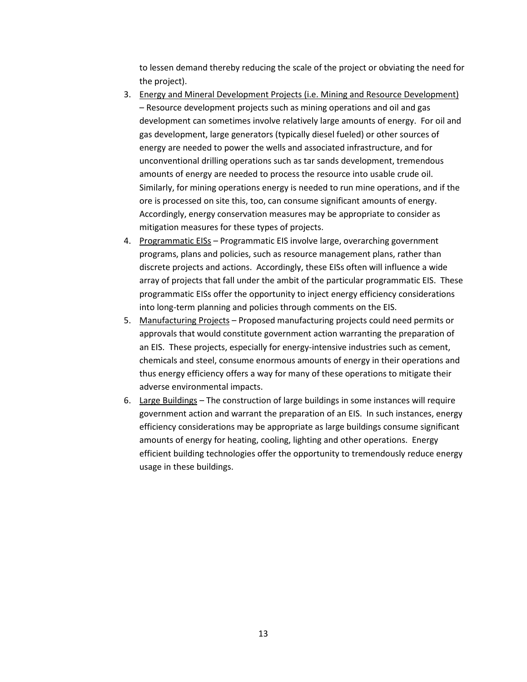to lessen demand thereby reducing the scale of the project or obviating the need for the project).

- 3. Energy and Mineral Development Projects (i.e. Mining and Resource Development) – Resource development projects such as mining operations and oil and gas development can sometimes involve relatively large amounts of energy. For oil and gas development, large generators (typically diesel fueled) or other sources of energy are needed to power the wells and associated infrastructure, and for unconventional drilling operations such as tar sands development, tremendous amounts of energy are needed to process the resource into usable crude oil. Similarly, for mining operations energy is needed to run mine operations, and if the ore is processed on site this, too, can consume significant amounts of energy. Accordingly, energy conservation measures may be appropriate to consider as mitigation measures for these types of projects.
- 4. Programmatic EISs Programmatic EIS involve large, overarching government programs, plans and policies, such as resource management plans, rather than discrete projects and actions. Accordingly, these EISs often will influence a wide array of projects that fall under the ambit of the particular programmatic EIS. These programmatic EISs offer the opportunity to inject energy efficiency considerations into long-term planning and policies through comments on the EIS.
- 5. Manufacturing Projects Proposed manufacturing projects could need permits or approvals that would constitute government action warranting the preparation of an EIS. These projects, especially for energy-intensive industries such as cement, chemicals and steel, consume enormous amounts of energy in their operations and thus energy efficiency offers a way for many of these operations to mitigate their adverse environmental impacts.
- 6. Large Buildings The construction of large buildings in some instances will require government action and warrant the preparation of an EIS. In such instances, energy efficiency considerations may be appropriate as large buildings consume significant amounts of energy for heating, cooling, lighting and other operations. Energy efficient building technologies offer the opportunity to tremendously reduce energy usage in these buildings.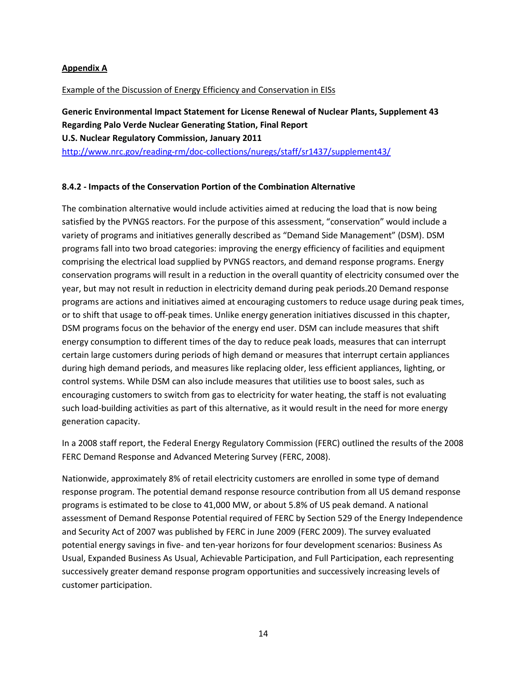## Appendix A

### Example of the Discussion of Energy Efficiency and Conservation in EISs

Generic Environmental Impact Statement for License Renewal of Nuclear Plants, Supplement 43 Regarding Palo Verde Nuclear Generating Station, Final Report U.S. Nuclear Regulatory Commission, January 2011 http://www.nrc.gov/reading-rm/doc-collections/nuregs/staff/sr1437/supplement43/

### 8.4.2 - Impacts of the Conservation Portion of the Combination Alternative

The combination alternative would include activities aimed at reducing the load that is now being satisfied by the PVNGS reactors. For the purpose of this assessment, "conservation" would include a variety of programs and initiatives generally described as "Demand Side Management" (DSM). DSM programs fall into two broad categories: improving the energy efficiency of facilities and equipment comprising the electrical load supplied by PVNGS reactors, and demand response programs. Energy conservation programs will result in a reduction in the overall quantity of electricity consumed over the year, but may not result in reduction in electricity demand during peak periods.20 Demand response programs are actions and initiatives aimed at encouraging customers to reduce usage during peak times, or to shift that usage to off-peak times. Unlike energy generation initiatives discussed in this chapter, DSM programs focus on the behavior of the energy end user. DSM can include measures that shift energy consumption to different times of the day to reduce peak loads, measures that can interrupt certain large customers during periods of high demand or measures that interrupt certain appliances during high demand periods, and measures like replacing older, less efficient appliances, lighting, or control systems. While DSM can also include measures that utilities use to boost sales, such as encouraging customers to switch from gas to electricity for water heating, the staff is not evaluating such load-building activities as part of this alternative, as it would result in the need for more energy generation capacity.

In a 2008 staff report, the Federal Energy Regulatory Commission (FERC) outlined the results of the 2008 FERC Demand Response and Advanced Metering Survey (FERC, 2008).

Nationwide, approximately 8% of retail electricity customers are enrolled in some type of demand response program. The potential demand response resource contribution from all US demand response programs is estimated to be close to 41,000 MW, or about 5.8% of US peak demand. A national assessment of Demand Response Potential required of FERC by Section 529 of the Energy Independence and Security Act of 2007 was published by FERC in June 2009 (FERC 2009). The survey evaluated potential energy savings in five- and ten-year horizons for four development scenarios: Business As Usual, Expanded Business As Usual, Achievable Participation, and Full Participation, each representing successively greater demand response program opportunities and successively increasing levels of customer participation.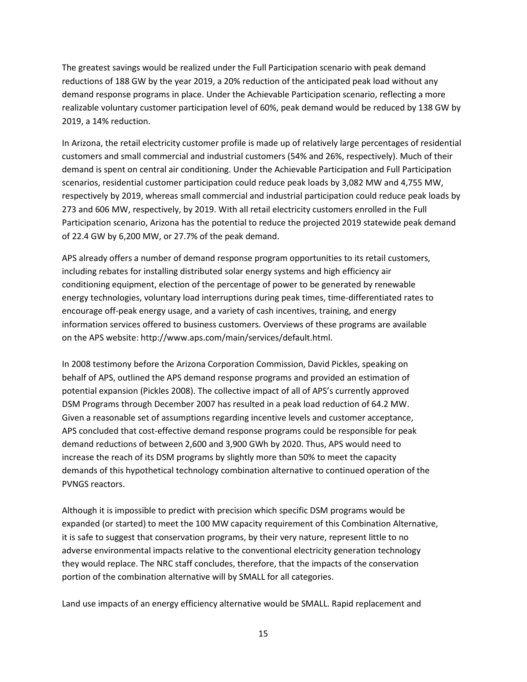The greatest savings would be realized under the Full Participation scenario with peak demand reductions of 188 GW by the year 2019, a 20% reduction of the anticipated peak load without any demand response programs in place. Under the Achievable Participation scenario, reflecting a more realizable voluntary customer participation level of 60%, peak demand would be reduced by 138 GW by 2019, a 14% reduction.

In Arizona, the retail electricity customer profile is made up of relatively large percentages of residential customers and small commercial and industrial customers (54% and 26%, respectively). Much of their demand is spent on central air conditioning. Under the Achievable Participation and Full Participation scenarios, residential customer participation could reduce peak loads by 3,082 MW and 4,755 MW, respectively by 2019, whereas small commercial and industrial participation could reduce peak loads by 273 and 606 MW, respectively, by 2019. With all retail electricity customers enrolled in the Full Participation scenario, Arizona has the potential to reduce the projected 2019 statewide peak demand of 22.4 GW by 6,200 MW, or 27.7% of the peak demand.

APS already offers a number of demand response program opportunities to its retail customers, including rebates for installing distributed solar energy systems and high efficiency air conditioning equipment, election of the percentage of power to be generated by renewable energy technologies, voluntary load interruptions during peak times, time-differentiated rates to encourage off-peak energy usage, and a variety of cash incentives, training, and energy information services offered to business customers. Overviews of these programs are available on the APS website: http://www.aps.com/main/services/default.html.

In 2008 testimony before the Arizona Corporation Commission, David Pickles, speaking on behalf of APS, outlined the APS demand response programs and provided an estimation of potential expansion (Pickles 2008). The collective impact of all of APS's currently approved DSM Programs through December 2007 has resulted in a peak load reduction of 64.2 MW. Given a reasonable set of assumptions regarding incentive levels and customer acceptance, APS concluded that cost-effective demand response programs could be responsible for peak demand reductions of between 2,600 and 3,900 GWh by 2020. Thus, APS would need to increase the reach of its DSM programs by slightly more than 50% to meet the capacity demands of this hypothetical technology combination alternative to continued operation of the PVNGS reactors.

Although it is impossible to predict with precision which specific DSM programs would be expanded (or started) to meet the 100 MW capacity requirement of this Combination Alternative, it is safe to suggest that conservation programs, by their very nature, represent little to no adverse environmental impacts relative to the conventional electricity generation technology they would replace. The NRC staff concludes, therefore, that the impacts of the conservation portion of the combination alternative will by SMALL for all categories.

Land use impacts of an energy efficiency alternative would be SMALL. Rapid replacement and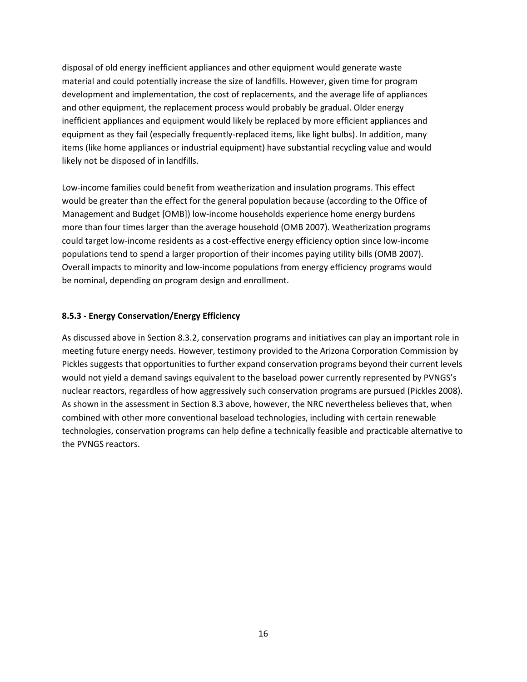disposal of old energy inefficient appliances and other equipment would generate waste material and could potentially increase the size of landfills. However, given time for program development and implementation, the cost of replacements, and the average life of appliances and other equipment, the replacement process would probably be gradual. Older energy inefficient appliances and equipment would likely be replaced by more efficient appliances and equipment as they fail (especially frequently-replaced items, like light bulbs). In addition, many items (like home appliances or industrial equipment) have substantial recycling value and would likely not be disposed of in landfills.

Low-income families could benefit from weatherization and insulation programs. This effect would be greater than the effect for the general population because (according to the Office of Management and Budget [OMB]) low-income households experience home energy burdens more than four times larger than the average household (OMB 2007). Weatherization programs could target low-income residents as a cost-effective energy efficiency option since low-income populations tend to spend a larger proportion of their incomes paying utility bills (OMB 2007). Overall impacts to minority and low-income populations from energy efficiency programs would be nominal, depending on program design and enrollment.

#### 8.5.3 - Energy Conservation/Energy Efficiency

As discussed above in Section 8.3.2, conservation programs and initiatives can play an important role in meeting future energy needs. However, testimony provided to the Arizona Corporation Commission by Pickles suggests that opportunities to further expand conservation programs beyond their current levels would not yield a demand savings equivalent to the baseload power currently represented by PVNGS's nuclear reactors, regardless of how aggressively such conservation programs are pursued (Pickles 2008). As shown in the assessment in Section 8.3 above, however, the NRC nevertheless believes that, when combined with other more conventional baseload technologies, including with certain renewable technologies, conservation programs can help define a technically feasible and practicable alternative to the PVNGS reactors.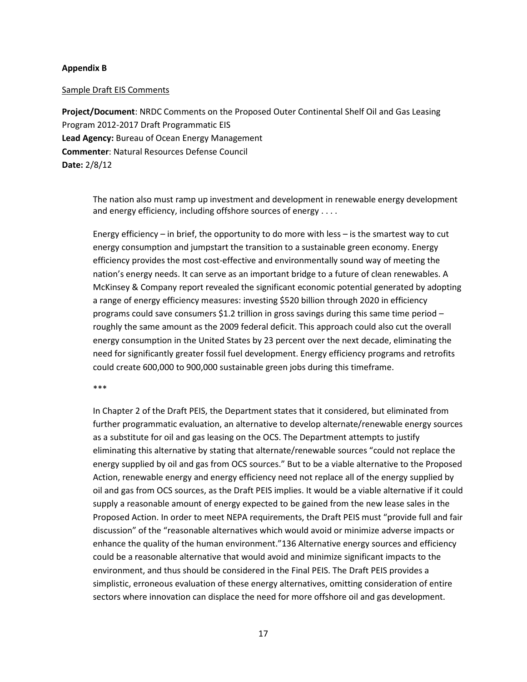#### Appendix B

#### Sample Draft EIS Comments

Project/Document: NRDC Comments on the Proposed Outer Continental Shelf Oil and Gas Leasing Program 2012-2017 Draft Programmatic EIS Lead Agency: Bureau of Ocean Energy Management Commenter: Natural Resources Defense Council Date: 2/8/12

The nation also must ramp up investment and development in renewable energy development and energy efficiency, including offshore sources of energy . . . .

Energy efficiency – in brief, the opportunity to do more with less – is the smartest way to cut energy consumption and jumpstart the transition to a sustainable green economy. Energy efficiency provides the most cost-effective and environmentally sound way of meeting the nation's energy needs. It can serve as an important bridge to a future of clean renewables. A McKinsey & Company report revealed the significant economic potential generated by adopting a range of energy efficiency measures: investing \$520 billion through 2020 in efficiency programs could save consumers \$1.2 trillion in gross savings during this same time period – roughly the same amount as the 2009 federal deficit. This approach could also cut the overall energy consumption in the United States by 23 percent over the next decade, eliminating the need for significantly greater fossil fuel development. Energy efficiency programs and retrofits could create 600,000 to 900,000 sustainable green jobs during this timeframe.

#### \*\*\*

In Chapter 2 of the Draft PEIS, the Department states that it considered, but eliminated from further programmatic evaluation, an alternative to develop alternate/renewable energy sources as a substitute for oil and gas leasing on the OCS. The Department attempts to justify eliminating this alternative by stating that alternate/renewable sources "could not replace the energy supplied by oil and gas from OCS sources." But to be a viable alternative to the Proposed Action, renewable energy and energy efficiency need not replace all of the energy supplied by oil and gas from OCS sources, as the Draft PEIS implies. It would be a viable alternative if it could supply a reasonable amount of energy expected to be gained from the new lease sales in the Proposed Action. In order to meet NEPA requirements, the Draft PEIS must "provide full and fair discussion" of the "reasonable alternatives which would avoid or minimize adverse impacts or enhance the quality of the human environment."136 Alternative energy sources and efficiency could be a reasonable alternative that would avoid and minimize significant impacts to the environment, and thus should be considered in the Final PEIS. The Draft PEIS provides a simplistic, erroneous evaluation of these energy alternatives, omitting consideration of entire sectors where innovation can displace the need for more offshore oil and gas development.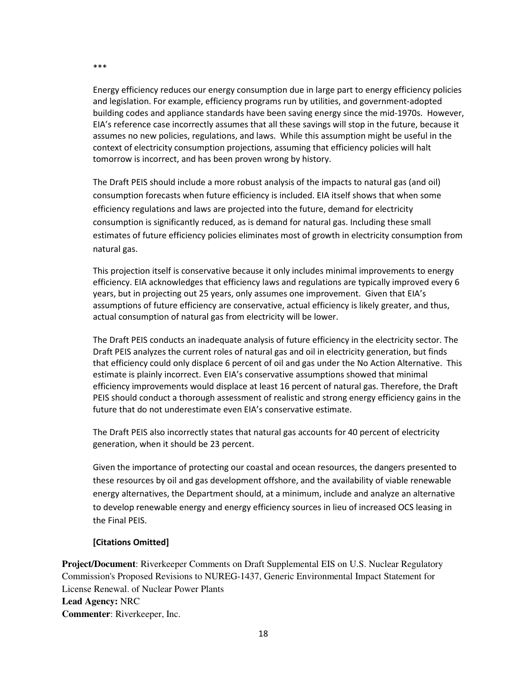Energy efficiency reduces our energy consumption due in large part to energy efficiency policies and legislation. For example, efficiency programs run by utilities, and government-adopted building codes and appliance standards have been saving energy since the mid-1970s. However, EIA's reference case incorrectly assumes that all these savings will stop in the future, because it assumes no new policies, regulations, and laws. While this assumption might be useful in the context of electricity consumption projections, assuming that efficiency policies will halt tomorrow is incorrect, and has been proven wrong by history.

The Draft PEIS should include a more robust analysis of the impacts to natural gas (and oil) consumption forecasts when future efficiency is included. EIA itself shows that when some efficiency regulations and laws are projected into the future, demand for electricity consumption is significantly reduced, as is demand for natural gas. Including these small estimates of future efficiency policies eliminates most of growth in electricity consumption from natural gas.

This projection itself is conservative because it only includes minimal improvements to energy efficiency. EIA acknowledges that efficiency laws and regulations are typically improved every 6 years, but in projecting out 25 years, only assumes one improvement. Given that EIA's assumptions of future efficiency are conservative, actual efficiency is likely greater, and thus, actual consumption of natural gas from electricity will be lower.

The Draft PEIS conducts an inadequate analysis of future efficiency in the electricity sector. The Draft PEIS analyzes the current roles of natural gas and oil in electricity generation, but finds that efficiency could only displace 6 percent of oil and gas under the No Action Alternative. This estimate is plainly incorrect. Even EIA's conservative assumptions showed that minimal efficiency improvements would displace at least 16 percent of natural gas. Therefore, the Draft PEIS should conduct a thorough assessment of realistic and strong energy efficiency gains in the future that do not underestimate even EIA's conservative estimate.

The Draft PEIS also incorrectly states that natural gas accounts for 40 percent of electricity generation, when it should be 23 percent.

Given the importance of protecting our coastal and ocean resources, the dangers presented to these resources by oil and gas development offshore, and the availability of viable renewable energy alternatives, the Department should, at a minimum, include and analyze an alternative to develop renewable energy and energy efficiency sources in lieu of increased OCS leasing in the Final PEIS.

### [Citations Omitted]

**Project/Document**: Riverkeeper Comments on Draft Supplemental EIS on U.S. Nuclear Regulatory Commission's Proposed Revisions to NUREG-1437, Generic Environmental Impact Statement for License Renewal. of Nuclear Power Plants **Lead Agency:** NRC **Commenter**: Riverkeeper, Inc.

\*\*\*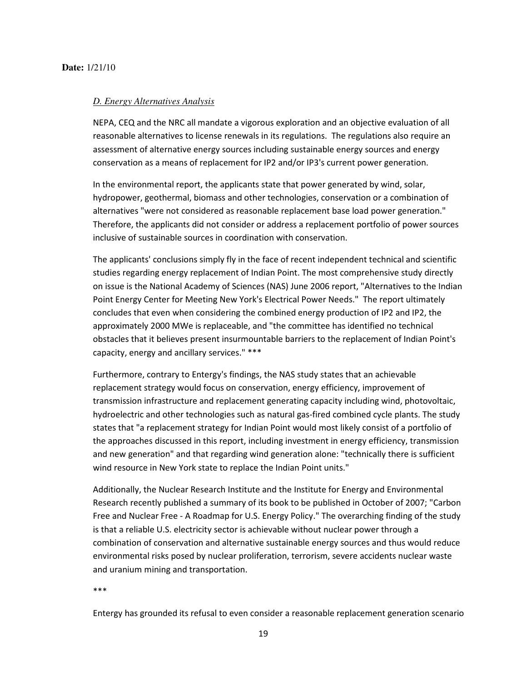#### *D. Energy Alternatives Analysis*

NEPA, CEQ and the NRC all mandate a vigorous exploration and an objective evaluation of all reasonable alternatives to license renewals in its regulations. The regulations also require an assessment of alternative energy sources including sustainable energy sources and energy conservation as a means of replacement for IP2 and/or IP3's current power generation.

In the environmental report, the applicants state that power generated by wind, solar, hydropower, geothermal, biomass and other technologies, conservation or a combination of alternatives "were not considered as reasonable replacement base load power generation." Therefore, the applicants did not consider or address a replacement portfolio of power sources inclusive of sustainable sources in coordination with conservation.

The applicants' conclusions simply fly in the face of recent independent technical and scientific studies regarding energy replacement of Indian Point. The most comprehensive study directly on issue is the National Academy of Sciences (NAS) June 2006 report, "Alternatives to the Indian Point Energy Center for Meeting New York's Electrical Power Needs." The report ultimately concludes that even when considering the combined energy production of IP2 and IP2, the approximately 2000 MWe is replaceable, and "the committee has identified no technical obstacles that it believes present insurmountable barriers to the replacement of Indian Point's capacity, energy and ancillary services." \*\*\*

Furthermore, contrary to Entergy's findings, the NAS study states that an achievable replacement strategy would focus on conservation, energy efficiency, improvement of transmission infrastructure and replacement generating capacity including wind, photovoltaic, hydroelectric and other technologies such as natural gas-fired combined cycle plants. The study states that "a replacement strategy for Indian Point would most likely consist of a portfolio of the approaches discussed in this report, including investment in energy efficiency, transmission and new generation" and that regarding wind generation alone: "technically there is sufficient wind resource in New York state to replace the Indian Point units."

Additionally, the Nuclear Research Institute and the Institute for Energy and Environmental Research recently published a summary of its book to be published in October of 2007; "Carbon Free and Nuclear Free - A Roadmap for U.S. Energy Policy." The overarching finding of the study is that a reliable U.S. electricity sector is achievable without nuclear power through a combination of conservation and alternative sustainable energy sources and thus would reduce environmental risks posed by nuclear proliferation, terrorism, severe accidents nuclear waste and uranium mining and transportation.

\*\*\*

Entergy has grounded its refusal to even consider a reasonable replacement generation scenario